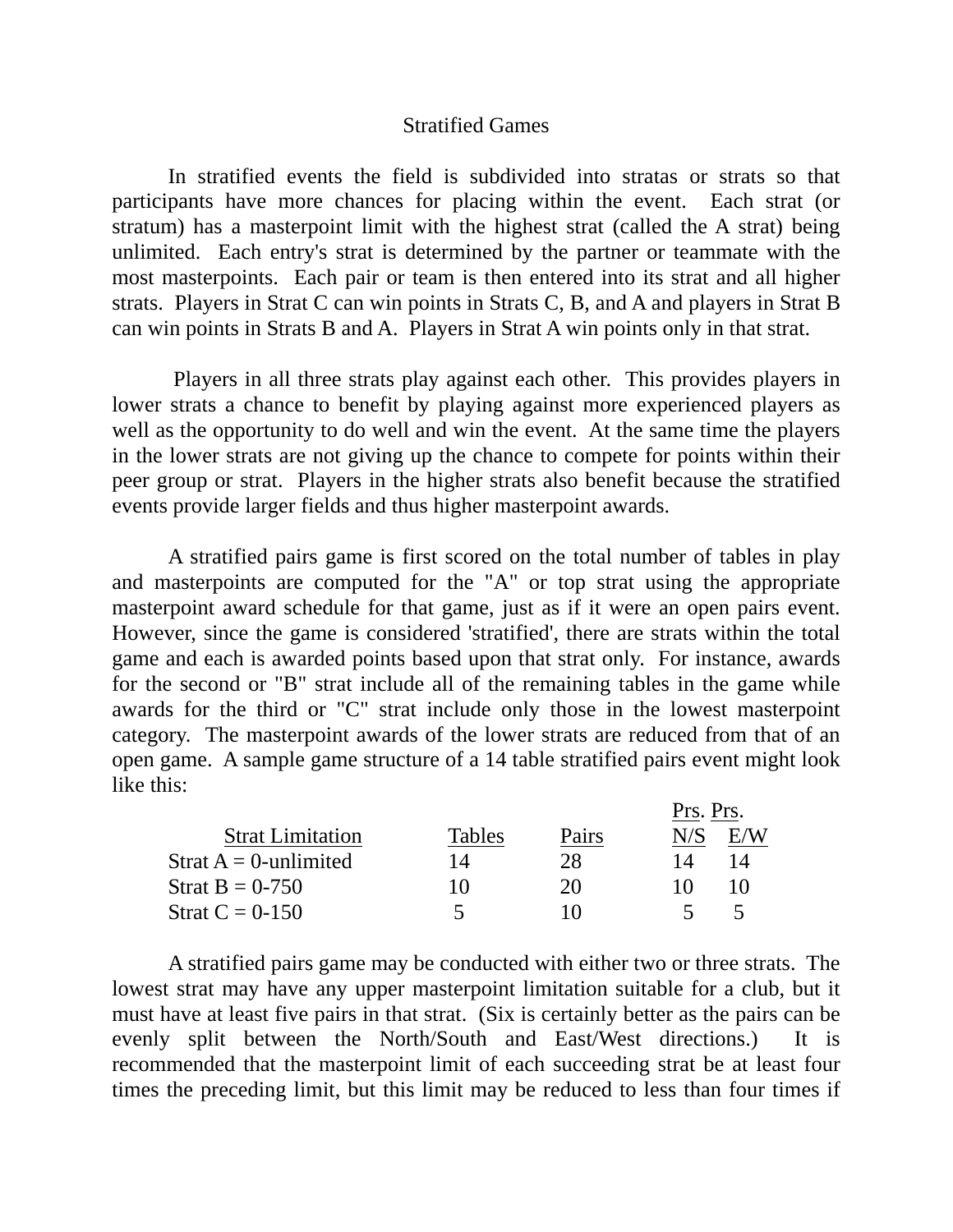## Stratified Games

 In stratified events the field is subdivided into stratas or strats so that participants have more chances for placing within the event. Each strat (or stratum) has a masterpoint limit with the highest strat (called the A strat) being unlimited. Each entry's strat is determined by the partner or teammate with the most masterpoints. Each pair or team is then entered into its strat and all higher strats. Players in Strat C can win points in Strats C, B, and A and players in Strat B can win points in Strats B and A. Players in Strat A win points only in that strat.

 Players in all three strats play against each other. This provides players in lower strats a chance to benefit by playing against more experienced players as well as the opportunity to do well and win the event. At the same time the players in the lower strats are not giving up the chance to compete for points within their peer group or strat. Players in the higher strats also benefit because the stratified events provide larger fields and thus higher masterpoint awards.

 A stratified pairs game is first scored on the total number of tables in play and masterpoints are computed for the "A" or top strat using the appropriate masterpoint award schedule for that game, just as if it were an open pairs event. However, since the game is considered 'stratified', there are strats within the total game and each is awarded points based upon that strat only. For instance, awards for the second or "B" strat include all of the remaining tables in the game while awards for the third or "C" strat include only those in the lowest masterpoint category. The masterpoint awards of the lower strats are reduced from that of an open game. A sample game structure of a 14 table stratified pairs event might look like this:

|                          |        |       |     | Prs. Prs. |  |
|--------------------------|--------|-------|-----|-----------|--|
| <b>Strat Limitation</b>  | Tables | Pairs | N/S |           |  |
| Strat $A = 0$ -unlimited | 14     | 28    |     | 14        |  |
| Strat $B = 0-750$        | 10     | 20    |     |           |  |
| Strat $C = 0.150$        |        | I ( ) |     |           |  |

 A stratified pairs game may be conducted with either two or three strats. The lowest strat may have any upper masterpoint limitation suitable for a club, but it must have at least five pairs in that strat. (Six is certainly better as the pairs can be evenly split between the North/South and East/West directions.) It is recommended that the masterpoint limit of each succeeding strat be at least four times the preceding limit, but this limit may be reduced to less than four times if